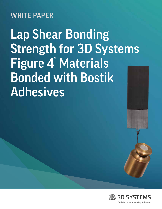## WHITE PAPER

Lap Shear Bonding Strength for 3D Systems Figure 4<sup>®</sup> Materials Bonded with Bostik Adhesives

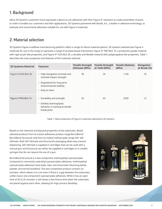## 1. Background

Many 3D Systems customers have expressed a desire to use adhesives with their Figure 4® solutions to create assemblies of parts. In order to enable our customers and their applications, 3D Systems partnered with Bostik, Inc., a leader in adhesive technology, to evaluate and recommend adhesives suitable for use with Figure 4 materials.

## 2. Material selection

3D Systems Figure 4 additive manufacturing platform offers a range of robust material options. 3D Systems selected two Figure 4 materials for use in this study to represent a range of acrylate-based chemistries: Figure 4® PRO-BLK 10, a production-grade material with rigid acrylic-like properties, and Figure 4® FLEX-BLK 20, a durable and flexible material with polypropylene-like properties. Table 1 describes the main properties and features of the materials selected.

| <b>3D Systems Material</b> | <b>Features</b>                                                                                                                                             | <b>Tensile Strength</b><br>Ultimate (MPa) | <b>Tensile Strength</b><br>at Yield (MPa) | <b>Tensile Modulus</b><br>(MPa) | <b>Elongation</b><br>at Break (%) |
|----------------------------|-------------------------------------------------------------------------------------------------------------------------------------------------------------|-------------------------------------------|-------------------------------------------|---------------------------------|-----------------------------------|
| Figure 4 FLEX-BLK 20       | • High elongation at break and<br>notched impact strength<br>Engineered for long term<br>$\bullet$<br>environmental stability<br>Easy to clean<br>$\bullet$ | 36                                        | 24                                        | 1150                            | 76                                |
| Figure 4 PRO-BLK 10        | Durability and strength<br>$\bullet$<br>Exhibits thermoplastic<br>$\bullet$<br>behavior in necking at tensile<br>break point                                | 63                                        | 63                                        | 2320                            | 12                                |

Table 1: Main properties of Figure 4 materials selected by 3D Systems

Based on the chemical and physical properties of the substrates, Bostik selected products from its instant adhesives product range Born2Bond™: Born2Bond Structural; and from its methyl methacrylate range SAF: SAF Ultimate. Both SAF Ultimate and Structural's packaging allow easy manual dispensing. SAF Ultimate is supplied in cartridges that can be used with a manual gun and Structural can either be supplied in cartridges or in smaller syringes that do not require the use of a gun.

Born2Bond Structural is a two-component methoxyethyl cyanoacrylate. Compared to commonly used ethyl cyanoacrylate adhesives, methoxyethyl cyanoacrylate adhesives have lower odor and show lower blooming (white powder around the bondline). This two-component product contains an activator, which allows it to cure even if there is a gap between the substrates, unlike classic one-component cyanoacrylate adhesives. While it has an open time of 20 to 25 minutes, it still shows a fast fixture time when the substrates are placed against each other, allowing for high process flexibility.

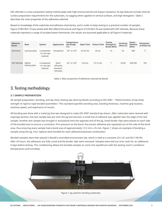SAF Ultimate is a two-component methyl methacrylate with high environmental and impact resistance. Its key features include minimal surface preparation requirements for the substrates, no sagging when applied on vertical surfaces, and high elongation. Table 2 describes the main properties of the adhesives selected.

Based on knowledge of the substrate and adhesive chemistries, and in order to keep testing to a practical number of samples, Figure 4 PRO-BLK 10 was tested with Born2Bond Structural and Figure 4 FLEX-BLK 20 was tested with SAF Ultimate. Because these materials represent a range of acrylate-based chemistries, the results are assumed applicable to all Figure 4 materials.

| <b>Adhesive</b><br><b>Name</b> | <b>Base</b>            | System                                     | Appearance                                    | <b>Temperature</b><br>Use Range<br>$(^{\circ}C)$ | Open Time | <b>Fixture Time</b> | <b>Tensile</b><br>Strength @<br>Break (MPa) | <b>Hardness</b><br>(Shore D) | Elastic<br><b>Modulus</b><br>(MPa) | Elongation<br>at Break (%) |
|--------------------------------|------------------------|--------------------------------------------|-----------------------------------------------|--------------------------------------------------|-----------|---------------------|---------------------------------------------|------------------------------|------------------------------------|----------------------------|
| Structural                     | Cyanoacrylate          | 2 component<br>- 4:1 mix ratio<br>(volume) | Transparent                                   | $-40^\circ$ to 120 $^\circ$                      | 25-35 min | 30 sec              | 16                                          | 65                           | 800                                | 17                         |
| <b>SAF Ultimate</b>            | Methyl<br>Methacrylate | 2 component<br>- 4:1 mix ratio<br>(volume) | Resin:<br>Off-white<br>Hardener:<br>Off-white | $-50^\circ$ to 150 $^\circ$                      | $6-8$ min | 10-15 min           |                                             | 55-60                        | 300-500                            | 100                        |

Table 2: Main properties of adhesives selected by Bostik

## 3. Testing methodology

#### **3.1 SAMPLE PREPARATION**

All sample preparation, bonding, and lap shear testing was done by Bostik according to ISO 4587 – "Determination of lap-shear strength of rigid-to-rigid bonded assemblies." This standard specifies bonding area, bonding thickness, machine grip location, machine speed, and expression of results.

All bonding was done with a metal jig that was designed to make ISO 4587 standard lap shears. After substrates were cleaned with isopropyl alcohol, one test sample was put onto the jig and secured. A small line of adhesive was applied near the edge of the test sample. Another test sample was brought in and placed onto the opposite end of the jig. Small binder clips were placed on each side of the bonded area to ensure a consistent, firm pressure on the bond. Any excess adhesive was squeezed out of the side of the bond area, thus ensuring every sample had a bond area of approximately 12.5 mm x 25 mm. Figure 1 shows an example of bonding a sample using this jig. Four replicas were bonded for each adhesive/substrate combination.

Bonded samples were then placed in Bostik's controlled environment lab, which is held at a constant 23+/-2C and 50+/-5% RH. After 24 hours, the adhesives are fully cured and the binder clips were removed. Samples were laid out onto racks for an additional 6 days before testing. This conditioning allows the bonded samples to come into equilibrium with the testing room's conditions (temperature and humidity).



Figure 1: Jig used for bonding substrates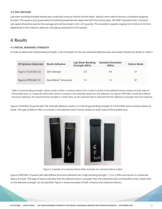#### **3.2 TEST METHOD**

Lap shear bonding strength testing was conducted using an Instron tensile tester. Spacers were used to ensure a consistent gripping location. The spacers also guaranteed consistently perpendicular alignment with the Instron jaws. ISO 4587 stipulates that a constant test speed should be used so the average joint will be broken in 65 ± 20 seconds. This resulted in speeds ranging from 0.06 to 0.3 in/min depending on the material, adhesive, and aging conducted on the sample.

### 4. Results

#### **4.1 INITIAL BONDING STRENGTH**

In order to determine initial bonding strength, a set of samples for the two substrate/adhesive pairs was tested. Results are shown in Table 3.

| <b>3D Systems Substrate</b> | <b>Bostik Adhesive</b> | <b>Lap Shear Bonding</b><br><b>Strength (MPa)</b> | <b>Standard Deviation</b><br>(MPa) | <b>Failure Mode</b> |
|-----------------------------|------------------------|---------------------------------------------------|------------------------------------|---------------------|
| Figure 4 FLEX-BLK 20        | <b>SAF Ultimate</b>    | 3.5                                               | 0.4                                |                     |
| Figure 4 PRO-BLK 10         | Born2Bond™ Structural  | 7.2                                               | 1.2                                | SF                  |

Table 3: Initial bonding strength. Failure mode is either a cohesive failure (CF), in which a break in the adhesive leaves residue on both sides of the bonded area, or a substrate failure (SF), which is a break in the substrate away from the adhesive. For Figure 4 PRO-BLK 10 with Born2Bond Structural adhesive, the reported bond strength is a lower limit, as the substrate failure indicates that the adhesive is stronger than the substrate.

Figure 4 FLEX-BLK 20 paired with SAF Ultimate adhesive results in a mid-range bonding strength of 3.5±0.4 MPa and a cohesive failure at break. This type of failure refers to a break in the adhesive which leaves residue on both sides of the bonded area.



Figure 2. Example of a cohesive failure (left); example of a substrate failure (right)

Figure 4 PRO-BLK 10 paired with Born2Bond Structural adhesive has a high bonding strength > 7.2±1.2 MPa and results in a substrate failure at break. This type of failure indicates that the adhesive bond is stronger than the substrate itself, and therefore only a lower limit on the adhesive strength can be specified. Figure 2 shows examples of both cohesive and substrate failures.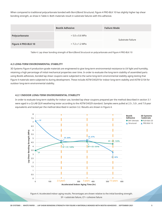When compared to traditional polycarbonate bonded with Born2Bond Structural, Figure 4 PRO-BLK 10 has slightly higher lap shear bonding strength, as show in Table 4. Both materials result in substrate failures with this adhesive.

|                     | <b>Bostik Adhesive</b> | <b>Failure Mode</b> |
|---------------------|------------------------|---------------------|
| Polycarbonate       | $> 5.0 \pm 0.6$ MPa    | Substrate Failure   |
| Figure 4 PRO-BLK 10 | $>$ 7.2 $\pm$ 1.2 MPa  |                     |

Table 4. Lap shear bonding strength of Born2Bond Structural on polycarbonate and Figure 4 PRO-BLK 10

#### **4.2 LONG-TERM ENVIRONMENTAL STABILITY**

l

3D Systems Figure 4 production-grade materials are engineered to give long-term environmental resistance to UV light and humidity, retaining a high percentage of initial mechanical properties over time. In order to evaluate the long-term stability of assembled parts using Bostik adhesives, bonded lap shear coupons were subjected to the same long-term environmental stability aging testing that Figure 4 materials were subjected to during development. These include ASTM D4329 for indoor long-term stability and ASTM G154 for outdoor long-term environmental stability.

#### **4.2.1 INDOOR LONG-TERM ENVIRONMENTAL STABILITY**

In order to evaluate long-term stability for indoor use, bonded lap shear coupons prepared per the method described in section 3.1 were aged in a Q-LAB QUV weathering tester according to the ASTM D4329 standard. Samples were pulled at 2.5-, 5.0-, and 7.0-year equivalents and tested per the method described in section 3.2. Results are shown in Figure 4.



Figure 4. Accelerated indoor aging results. Percentages are shown relative to the initial bonding strength. SF = substrate failure, CF = cohesive failure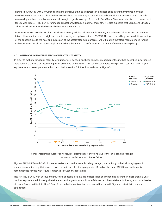Figure 4 PRO-BLK 10 with Born2Bond Structural adhesive exhibits a decrease in lap shear bond strength over time, however the failure mode remains a substrate failure throughout the entire aging period. This indicates that the adhesive bond strength remains higher than the substrate material strength regardless of age. As a result, Born2Bond Structural adhesive is recommended for use with Figure 4 PRO-BLK 10 for indoor applications. Based on material chemistry, it is also expected that Born2Bond Structural adhesive will perform similarly with all other Figure 4 materials.

Figure 4 FLEX-BLK 20 with SAF Ultimate adhesive initially exhibits a lower bond strength, and cohesive failure instead of substrate failure. However, it exhibits a slight increase in bonding strength over time (~20-30%). This increase is likely due to additional curing of the adhesive due to the heat applied as part of the accelerated aging process. SAF Ultimate is therefore recommended for use with Figure 4 materials for indoor applications where the material specifications fit the intent of the engineering design.

#### **4.2.2 OUTDOOR LONG-TERM ENVIRONMENTAL STABILITY**

In order to evaluate long-term stability for outdoor use, bonded lap shear coupons prepared per the method described in section 3.1 were aged in a Q-LAB QUV weathering tester according to the ASTM G154 standard. Samples were pulled at 0.5-, 1.0-, and 2.0-year equivalents and tested per the method described in section 3.2. Results are shown in Figure 5.



Figure 5. Accelerated outdoor aging results. Percentages are shown relative to the initial bonding strength. SF = substrate failure, CF = cohesive failure

Figure 4 FLEX-BLK 20 with SAF Ultimate adhesive starts with a lower bonding strength, but similarly to the indoor aging test, it remains constant or slightly improved over the entire accelerated aging period. Based on this data, SAF Ultimate adhesive is recommended for use with Figure 4 materials in outdoor applications.

Figure 4 PRO-BLK 10 with Born2Bond Structural adhesive displays a rapid loss in lap shear bonding strength in a less than 0.5-year outdoor equivalent. Additionally, the failure mode changes from a substrate failure to a cohesive failure, indicating a loss of adhesive strength. Based on this data, Born2Bond Structural adhesive is not recommended for use with Figure 4 materials in outdoor applications.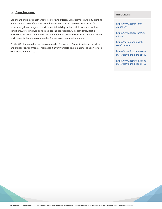## 5. Conclusions

Lap shear bonding strength was tested for two different 3D Systems Figure 4 3D printing materials with two different Bostik adhesives. Both sets of material were tested for initial strength and long-term environmental stability under both indoor and outdoor conditions. All testing was performed per the appropriate ASTM standards. Bostik Born2Bond Structural adhesive is recommended for use with Figure 4 materials in indoor environments, but not recommended for use in outdoor environments.

Bostik SAF Ultimate adhesive is recommended for use with Figure 4 materials in indoor and outdoor environments. This makes it a very versatile single-material solution for use with Figure 4 materials.

#### **RESOURCES:**

[https://www.bostik.com/](https://www.bostik.com/global/en/) [global/en/](https://www.bostik.com/global/en/)

[https://www.bostik.com/us/](https://www.bostik.com/us/en_US/) [en\\_US/](https://www.bostik.com/us/en_US/)

[https://born2bond.bostik.](https://born2bond.bostik.com/en/home) [com/en/home](https://born2bond.bostik.com/en/home)

[https://www.3dsystems.com/](https://www.3dsystems.com/materials/figure-4-pro-blk-10) [materials/figure-4-pro-blk-10](https://www.3dsystems.com/materials/figure-4-pro-blk-10)

[https://www.3dsystems.com/](https://www.3dsystems.com/materials/figure-4-flex-blk-20) [materials/figure-4-flex-blk-20](https://www.3dsystems.com/materials/figure-4-flex-blk-20)